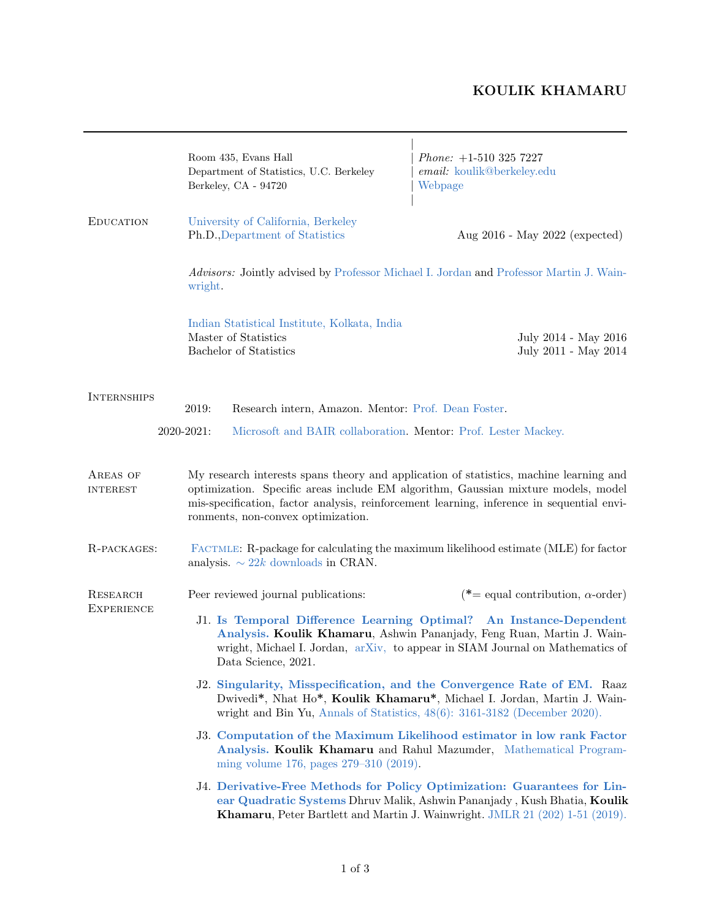## KOULIK KHAMARU

 $\overline{\phantom{a}}$ 

|                                                                                                                                                                    | Room 435, Evans Hall<br>Department of Statistics, U.C. Berkeley<br>Berkeley, CA - 94720                                                                                                                                                                                                                        | $Phone: +1-510 325 7227$<br>email: koulik@berkeley.edu<br>Webpage                                                                                                                                                                    |  |
|--------------------------------------------------------------------------------------------------------------------------------------------------------------------|----------------------------------------------------------------------------------------------------------------------------------------------------------------------------------------------------------------------------------------------------------------------------------------------------------------|--------------------------------------------------------------------------------------------------------------------------------------------------------------------------------------------------------------------------------------|--|
| <b>EDUCATION</b>                                                                                                                                                   | University of California, Berkeley<br>Ph.D., Department of Statistics                                                                                                                                                                                                                                          | Aug 2016 - May 2022 (expected)                                                                                                                                                                                                       |  |
|                                                                                                                                                                    | Advisors: Jointly advised by Professor Michael I. Jordan and Professor Martin J. Wain-<br>wright.                                                                                                                                                                                                              |                                                                                                                                                                                                                                      |  |
|                                                                                                                                                                    | Indian Statistical Institute, Kolkata, India<br>Master of Statistics<br>Bachelor of Statistics                                                                                                                                                                                                                 | July 2014 - May 2016<br>July 2011 - May 2014                                                                                                                                                                                         |  |
| <b>INTERNSHIPS</b><br>2019:<br>Research intern, Amazon. Mentor: Prof. Dean Foster.<br>2020-2021:<br>Microsoft and BAIR collaboration. Mentor: Prof. Lester Mackey. |                                                                                                                                                                                                                                                                                                                |                                                                                                                                                                                                                                      |  |
| AREAS OF<br><b>INTEREST</b>                                                                                                                                        | My research interests spans theory and application of statistics, machine learning and<br>optimization. Specific areas include EM algorithm, Gaussian mixture models, model<br>mis-specification, factor analysis, reinforcement learning, inference in sequential envi-<br>ronments, non-convex optimization. |                                                                                                                                                                                                                                      |  |
| R-PACKAGES:                                                                                                                                                        | FACTMLE: R-package for calculating the maximum likelihood estimate (MLE) for factor<br>analysis. $\sim 22k$ downloads in CRAN.                                                                                                                                                                                 |                                                                                                                                                                                                                                      |  |
| <b>RESEARCH</b><br><b>EXPERIENCE</b>                                                                                                                               | Peer reviewed journal publications:                                                                                                                                                                                                                                                                            | (*= equal contribution, $\alpha$ -order)                                                                                                                                                                                             |  |
|                                                                                                                                                                    | J1. Is Temporal Difference Learning Optimal? An Instance-Dependent<br>Analysis. Koulik Khamaru, Ashwin Pananjady, Feng Ruan, Martin J. Wain-<br>wright, Michael I. Jordan, arXiv, to appear in SIAM Journal on Mathematics of<br>Data Science, 2021.                                                           |                                                                                                                                                                                                                                      |  |
|                                                                                                                                                                    | J2. Singularity, Misspecification, and the Convergence Rate of EM. Raaz<br>Dwivedi*, Nhat Ho*, Koulik Khamaru*, Michael I. Jordan, Martin J. Wain-<br>wright and Bin Yu, Annals of Statistics, $48(6)$ : $3161-3182$ (December 2020).                                                                          |                                                                                                                                                                                                                                      |  |
|                                                                                                                                                                    | J3. Computation of the Maximum Likelihood estimator in low rank Factor<br>Analysis. Koulik Khamaru and Rahul Mazumder, Mathematical Program-<br>ming volume 176, pages 279–310 (2019).                                                                                                                         |                                                                                                                                                                                                                                      |  |
|                                                                                                                                                                    |                                                                                                                                                                                                                                                                                                                | J4. Derivative-Free Methods for Policy Optimization: Guarantees for Lin-<br>ear Quadratic Systems Dhruv Malik, Ashwin Pananjady, Kush Bhatia, Koulik<br>Khamaru, Peter Bartlett and Martin J. Wainwright. JMLR 21 (202) 1-51 (2019). |  |

<u> 1989 - Johann Barn, amerikansk politiker (d. 1989)</u>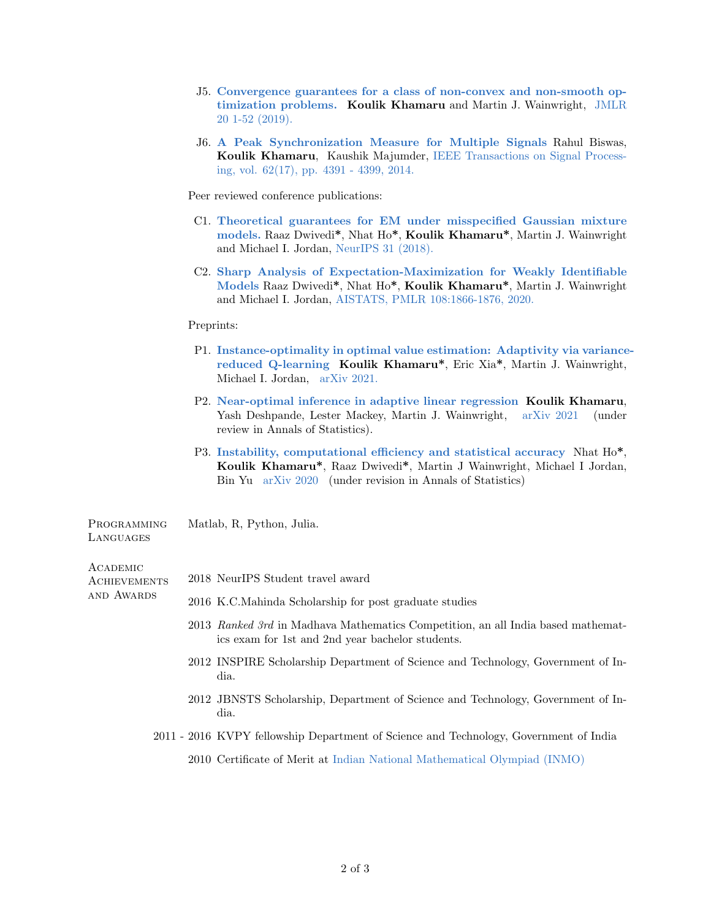- J5. [Convergence guarantees for a class of non-convex and non-smooth op](https://jmlr.org/papers/volume20/18-762/18-762.pdf)[timization problems.](https://jmlr.org/papers/volume20/18-762/18-762.pdf) Koulik Khamaru and Martin J. Wainwright, [JMLR](https://jmlr.org/papers/volume20/18-762/18-762.pdf) [20 1-52 \(2019\).](https://jmlr.org/papers/volume20/18-762/18-762.pdf)
- J6. [A Peak Synchronization Measure for Multiple Signals](https://ieeexplore.ieee.org/document/6845368) Rahul Biswas, Koulik Khamaru, Kaushik Majumder, [IEEE Transactions on Signal Process](https://ieeexplore.ieee.org/document/6845368)[ing, vol. 62\(17\), pp. 4391 - 4399, 2014.](https://ieeexplore.ieee.org/document/6845368)

Peer reviewed conference publications:

- C1. [Theoretical guarantees for EM under misspecified Gaussian mixture](https://proceedings.neurips.cc/paper/2018/hash/acc21473c4525b922286130ffbfe00b5-Abstract.html) [models.](https://proceedings.neurips.cc/paper/2018/hash/acc21473c4525b922286130ffbfe00b5-Abstract.html) Raaz Dwivedi\*, Nhat Ho\*, Koulik Khamaru\*, Martin J. Wainwright and Michael I. Jordan, [NeurIPS 31 \(2018\).](https://proceedings.neurips.cc/paper/2018/hash/acc21473c4525b922286130ffbfe00b5-Abstract.html)
- C2. [Sharp Analysis of Expectation-Maximization for Weakly Identifiable](https://proceedings.mlr.press/v108/dwivedi20a.html) [Models](https://proceedings.mlr.press/v108/dwivedi20a.html) Raaz Dwivedi\*, Nhat Ho\*, Koulik Khamaru\*, Martin J. Wainwright and Michael I. Jordan, [AISTATS, PMLR 108:1866-1876, 2020.](https://proceedings.mlr.press/v108/dwivedi20a.html)

## Preprints:

- P1. [Instance-optimality in optimal value estimation: Adaptivity via variance](https://arxiv.org/pdf/2106.14352.pdf)[reduced Q-learning](https://arxiv.org/pdf/2106.14352.pdf) Koulik Khamaru\*, Eric Xia\*, Martin J. Wainwright, Michael I. Jordan, [arXiv 2021.](https://arxiv.org/pdf/2106.14352.pdf)
- P2. [Near-optimal inference in adaptive linear regression](https://arxiv.org/pdf/2107.02266.pdf) Koulik Khamaru, Yash Deshpande, Lester Mackey, Martin J. Wainwright, [arXiv 2021](https://arxiv.org/pdf/2107.02266.pdf) (under review in Annals of Statistics).
- P3. [Instability, computational efficiency and statistical accuracy](https://arxiv.org/pdf/2005.11411.pdf) Nhat Ho\*, Koulik Khamaru\*, Raaz Dwivedi\*, Martin J Wainwright, Michael I Jordan, Bin Yu [arXiv 2020](https://arxiv.org/pdf/2005.11411.pdf) (under revision in Annals of Statistics)

**PROGRAMMING LANGUAGES** Matlab, R, Python, Julia.

## **ACADEMIC**

and Awards

- **ACHIEVEMENTS** 2018 NeurIPS Student travel award
	- 2016 K.C.Mahinda Scholarship for post graduate studies
		- 2013 Ranked 3rd in Madhava Mathematics Competition, an all India based mathematics exam for 1st and 2nd year bachelor students.
		- 2012 INSPIRE Scholarship Department of Science and Technology, Government of India.
		- 2012 JBNSTS Scholarship, Department of Science and Technology, Government of India.
	- 2011 2016 KVPY fellowship Department of Science and Technology, Government of India
		- 2010 Certificate of Merit at [Indian National Mathematical Olympiad \(INMO\)](http://olympiads.hbcse.tifr.res.in/subjects/mathematics)